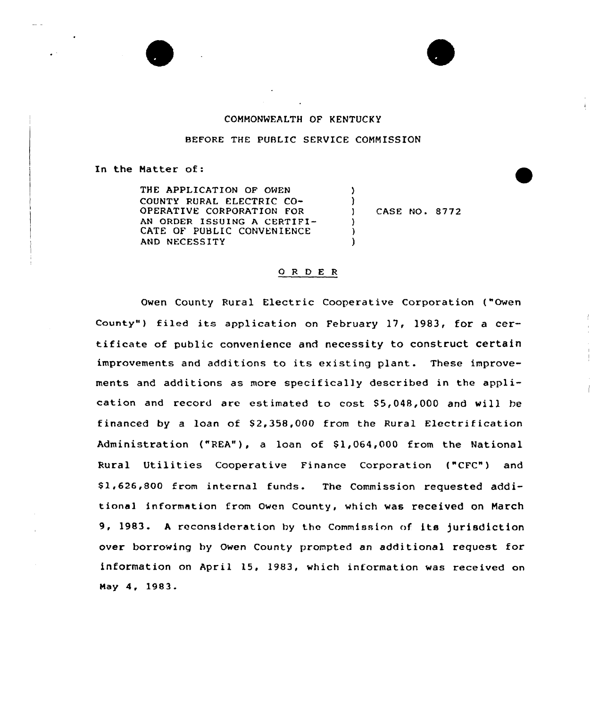

BEFORE THE PUBLIC SERVICE COMMISSION

)  $\left\{ \begin{array}{c} 1 \\ 1 \end{array} \right\}$ 

> ) ) )

## In the Hatter of:

THE APPLICATION OF OWEN COUNTY RURAL ELECTRIC CO-OPERATIVE CORPORATION FOR AN ORDER ISSUING A CERTIFI-CATE OF PUBLIC CONVENIENCE AND NECESSITY

) CASE NO <sup>~</sup> 8772

## O R D E R

Owen County Rural Electric Cooperative Corporation ("Owen County") filed its application on February 17, 1983, for a certificate of public convenience and necessity to construct certain improvements and additions to its existing plant. These improvements and additions as more specifically described in the application and record are estimated to cost S5,048,000 and vill be financed by a loan of  $$2,358,000$  from the Rural Electrification Administration ("REA"), a loan of \$1,064,000 from the National Rural Utilities Cooperative Finance Corporation ("CFC") and \$ 1,626,800 from internal funds. The Commission requested additional information from Owen County, which was received on Natch 9, 1983. <sup>A</sup> reconsideration hy the Commission of its jurisdiction over borrowing hy Owen County prompted an additional request for information on April 15, 1983, which information was received on Hay 4, 1983.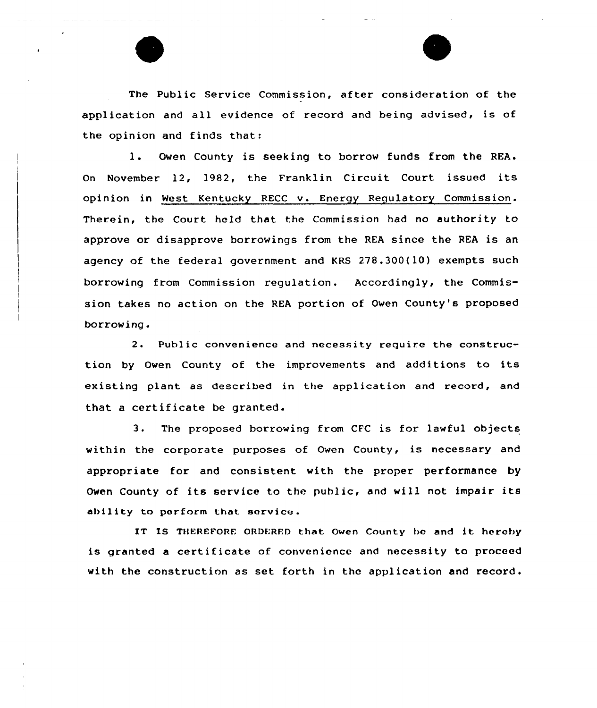The Public Service Commission, after consideration of the application and all evidence of record and being advised, is of the opinion and finds that:

l. Owen County is seeking to borrow funds from the REA. On November 12, l982, the Franklin Circuit Court issued its opinion in West Kentucky RECC v. Energy Regulatory Commission. Therein, the Court held that the Commission had no authority to approve or disapprove borrowings from the REA since the REA is an agency of the federal government and KRS 278.300(10) exempts such borrowing from Commission regulation. Accordingly, the Commission takes no action on the REA portion of Oven County's proposed borrowing.

2. Public convenience and necessity require the construction by Owen County of the improvements and additions to its existing plant as described in the application and record, and that <sup>a</sup> certificate be granted.

3. The proposed borrowing from CFC is for lawful objects within the corporate purposes of Oven County, is necessary and appropriate for and consistent with the proper performance by Owen County of its service to the public, and will not impair its ability to perform that service.

IT IS THEREFORE ORDERED that Owen County be and it hereby is granted <sup>a</sup> certificate of convenience and necessity to proceed with the construction as set forth in the application and record.